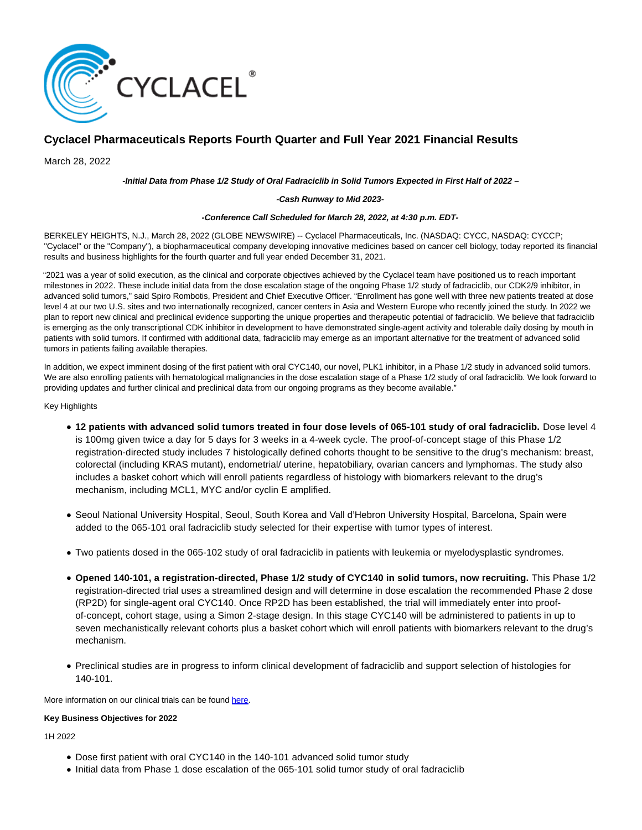

# **Cyclacel Pharmaceuticals Reports Fourth Quarter and Full Year 2021 Financial Results**

March 28, 2022

## **-Initial Data from Phase 1/2 Study of Oral Fadraciclib in Solid Tumors Expected in First Half of 2022 –**

#### **-Cash Runway to Mid 2023-**

#### **-Conference Call Scheduled for March 28, 2022, at 4:30 p.m. EDT-**

BERKELEY HEIGHTS, N.J., March 28, 2022 (GLOBE NEWSWIRE) -- Cyclacel Pharmaceuticals, Inc. (NASDAQ: CYCC, NASDAQ: CYCCP; "Cyclacel" or the "Company"), a biopharmaceutical company developing innovative medicines based on cancer cell biology, today reported its financial results and business highlights for the fourth quarter and full year ended December 31, 2021.

"2021 was a year of solid execution, as the clinical and corporate objectives achieved by the Cyclacel team have positioned us to reach important milestones in 2022. These include initial data from the dose escalation stage of the ongoing Phase 1/2 study of fadraciclib, our CDK2/9 inhibitor, in advanced solid tumors," said Spiro Rombotis, President and Chief Executive Officer. "Enrollment has gone well with three new patients treated at dose level 4 at our two U.S. sites and two internationally recognized, cancer centers in Asia and Western Europe who recently joined the study. In 2022 we plan to report new clinical and preclinical evidence supporting the unique properties and therapeutic potential of fadraciclib. We believe that fadraciclib is emerging as the only transcriptional CDK inhibitor in development to have demonstrated single-agent activity and tolerable daily dosing by mouth in patients with solid tumors. If confirmed with additional data, fadraciclib may emerge as an important alternative for the treatment of advanced solid tumors in patients failing available therapies.

In addition, we expect imminent dosing of the first patient with oral CYC140, our novel, PLK1 inhibitor, in a Phase 1/2 study in advanced solid tumors. We are also enrolling patients with hematological malignancies in the dose escalation stage of a Phase 1/2 study of oral fadraciclib. We look forward to providing updates and further clinical and preclinical data from our ongoing programs as they become available."

Key Highlights

- **12 patients with advanced solid tumors treated in four dose levels of 065-101 study of oral fadraciclib.** Dose level 4 is 100mg given twice a day for 5 days for 3 weeks in a 4-week cycle. The proof-of-concept stage of this Phase 1/2 registration-directed study includes 7 histologically defined cohorts thought to be sensitive to the drug's mechanism: breast, colorectal (including KRAS mutant), endometrial/ uterine, hepatobiliary, ovarian cancers and lymphomas. The study also includes a basket cohort which will enroll patients regardless of histology with biomarkers relevant to the drug's mechanism, including MCL1, MYC and/or cyclin E amplified.
- Seoul National University Hospital, Seoul, South Korea and Vall d'Hebron University Hospital, Barcelona, Spain were added to the 065-101 oral fadraciclib study selected for their expertise with tumor types of interest.
- Two patients dosed in the 065-102 study of oral fadraciclib in patients with leukemia or myelodysplastic syndromes.
- **Opened 140-101, a registration-directed, Phase 1/2 study of CYC140 in solid tumors, now recruiting.** This Phase 1/2 registration-directed trial uses a streamlined design and will determine in dose escalation the recommended Phase 2 dose (RP2D) for single-agent oral CYC140. Once RP2D has been established, the trial will immediately enter into proofof-concept, cohort stage, using a Simon 2-stage design. In this stage CYC140 will be administered to patients in up to seven mechanistically relevant cohorts plus a basket cohort which will enroll patients with biomarkers relevant to the drug's mechanism.
- Preclinical studies are in progress to inform clinical development of fadraciclib and support selection of histologies for 140-101.

More information on our clinical trials can be foun[d here.](https://www.globenewswire.com/Tracker?data=kAfEo6sYTbn0pSnWgarcvpPK3IasMZY5za32S9XkBtgD8PeTzCxyy257McOl_So2Tj7C0KyNZEmBsJh495MgNmJq-2y2ODabBGaYvWgR0_u5HALzpWXS3kGPpiR-EChnzk8I7X4D6oFxolWJG9xLffYxA42MVzzsn6OKUYDUEhwA_lrH7QN5vBwayI0E6cZsTYdS1B6z9jmonVKBiOBfpbBNYTT0efzgbWDUdVFCgBPHp_mOsXl-jYeHMA3mHDyXgmwW6sgZ8WWFgFILppPgchkkny_oOIK8lHghjnMcztOMYguEVyzMTEWQKgIMLYxfW9LFA9NjBJMDAeX7Pw7GZJjRtW2oj5I23xKwCWQjNXC7rpzyfAS3LcL3YEdmaygtr7PAMC49JHBVfxGOtP9hnZB6hbQmttfLgy2ssXn09NXOJk7B6m9suXIh4mEuIsaHak1NQbaLXYxLP0-zOUHdKcVJkuh3pdQAnJ8wLjQ_3JuPJQtc9kXgRdC6SU1qiUFm421JxKoZkEi4peGB93IpG6eHB3_vk6n0kur6nDnhieVRysOCz-qUVxIFgBLXBf_2N-mdlVovMQO9RUL_uFsn6GSpwb5MNVv80MGg2D9R4qo=)

## **Key Business Objectives for 2022**

1H 2022

- Dose first patient with oral CYC140 in the 140-101 advanced solid tumor study
- Initial data from Phase 1 dose escalation of the 065-101 solid tumor study of oral fadraciclib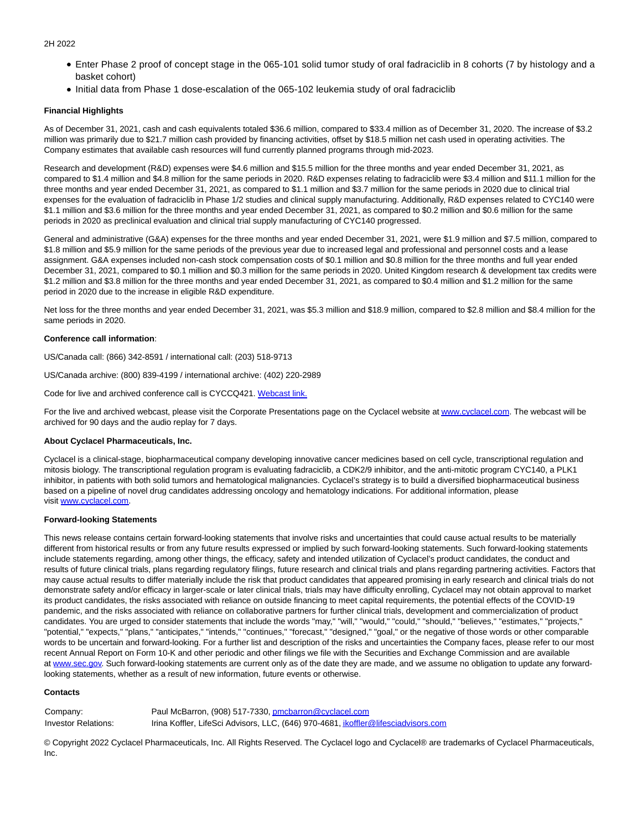#### 2H 2022

- Enter Phase 2 proof of concept stage in the 065-101 solid tumor study of oral fadraciclib in 8 cohorts (7 by histology and a basket cohort)
- Initial data from Phase 1 dose-escalation of the 065-102 leukemia study of oral fadraciclib

## **Financial Highlights**

As of December 31, 2021, cash and cash equivalents totaled \$36.6 million, compared to \$33.4 million as of December 31, 2020. The increase of \$3.2 million was primarily due to \$21.7 million cash provided by financing activities, offset by \$18.5 million net cash used in operating activities. The Company estimates that available cash resources will fund currently planned programs through mid-2023.

Research and development (R&D) expenses were \$4.6 million and \$15.5 million for the three months and year ended December 31, 2021, as compared to \$1.4 million and \$4.8 million for the same periods in 2020. R&D expenses relating to fadraciclib were \$3.4 million and \$11.1 million for the three months and year ended December 31, 2021, as compared to \$1.1 million and \$3.7 million for the same periods in 2020 due to clinical trial expenses for the evaluation of fadraciclib in Phase 1/2 studies and clinical supply manufacturing. Additionally, R&D expenses related to CYC140 were \$1.1 million and \$3.6 million for the three months and year ended December 31, 2021, as compared to \$0.2 million and \$0.6 million for the same periods in 2020 as preclinical evaluation and clinical trial supply manufacturing of CYC140 progressed.

General and administrative (G&A) expenses for the three months and year ended December 31, 2021, were \$1.9 million and \$7.5 million, compared to \$1.8 million and \$5.9 million for the same periods of the previous year due to increased legal and professional and personnel costs and a lease assignment. G&A expenses included non-cash stock compensation costs of \$0.1 million and \$0.8 million for the three months and full year ended December 31, 2021, compared to \$0.1 million and \$0.3 million for the same periods in 2020. United Kingdom research & development tax credits were \$1.2 million and \$3.8 million for the three months and year ended December 31, 2021, as compared to \$0.4 million and \$1.2 million for the same period in 2020 due to the increase in eligible R&D expenditure.

Net loss for the three months and year ended December 31, 2021, was \$5.3 million and \$18.9 million, compared to \$2.8 million and \$8.4 million for the same periods in 2020.

## **Conference call information**:

US/Canada call: (866) 342-8591 / international call: (203) 518-9713

US/Canada archive: (800) 839-4199 / international archive: (402) 220-2989

Code for live and archived conference call is CYCCQ421. [Webcast link.](https://www.globenewswire.com/Tracker?data=KxbxvY6pOzbgz-NG6Wl4jUfKuE4oGyiQRZCcCFth6_2xQA-RSqUxh2fxwx68lSekw_45ByLCbvP_gSVvhgRwwV67FEGhF1ESUH-AfOcnqhp8TkRvaBBeEsd48pzyXlucPc_sKeBpqaS4R2L5aGfUqw==)

For the live and archived webcast, please visit the Corporate Presentations page on the Cyclacel website a[t www.cyclacel.com.](https://www.globenewswire.com/Tracker?data=rs2m3JYeTgofLhco_m6e38WNLSd3NUfsrWP3BBIUPKYTxllj83Db14jrei_3quZdjX_60YuI6agnSAUZWLKxgjHeN79AkdvNN06Mm8BZTebnZCTQuVPbPzRLrUShlx3QZmA_G-9PDqGOGt7x3t3DiabhKZPfRtDwpPI0VGK2OzOG_fNZcl2GFaITaen0J2-tEjm2ALpGpfn-bUrGK1EXKgW-L5RElIAcZDkFSE07dto=) The webcast will be archived for 90 days and the audio replay for 7 days.

#### **About Cyclacel Pharmaceuticals, Inc.**

Cyclacel is a clinical-stage, biopharmaceutical company developing innovative cancer medicines based on cell cycle, transcriptional regulation and mitosis biology. The transcriptional regulation program is evaluating fadraciclib, a CDK2/9 inhibitor, and the anti-mitotic program CYC140, a PLK1 inhibitor, in patients with both solid tumors and hematological malignancies. Cyclacel's strategy is to build a diversified biopharmaceutical business based on a pipeline of novel drug candidates addressing oncology and hematology indications. For additional information, please visit [www.cyclacel.com.](https://www.globenewswire.com/Tracker?data=rs2m3JYeTgofLhco_m6e37j-cjy6GzmF3Ppm7gOh5p2SKKjwftjZPdoh57iwSv__s72PaAJtwG3GB0zJ_ZQD3z6v7G2emUXk_-7Xs8FqJEDNWUfH_X1w9tIoJwAck_VayXWzGX2AL3er1J8HDolKisPdIuhjOIt11TIIcCKJSjpvzwTL--dntMIo2ThLC2cVow71jqMhmtSK7YigWfuEhSG8sQoviTQscy0r0Q84yg4=)

#### **Forward-looking Statements**

This news release contains certain forward-looking statements that involve risks and uncertainties that could cause actual results to be materially different from historical results or from any future results expressed or implied by such forward-looking statements. Such forward-looking statements include statements regarding, among other things, the efficacy, safety and intended utilization of Cyclacel's product candidates, the conduct and results of future clinical trials, plans regarding regulatory filings, future research and clinical trials and plans regarding partnering activities. Factors that may cause actual results to differ materially include the risk that product candidates that appeared promising in early research and clinical trials do not demonstrate safety and/or efficacy in larger-scale or later clinical trials, trials may have difficulty enrolling, Cyclacel may not obtain approval to market its product candidates, the risks associated with reliance on outside financing to meet capital requirements, the potential effects of the COVID-19 pandemic, and the risks associated with reliance on collaborative partners for further clinical trials, development and commercialization of product candidates. You are urged to consider statements that include the words "may," "will," "would," "could," "should," "believes," "estimates," "projects," "potential," "expects," "plans," "anticipates," "intends," "continues," "forecast," "designed," "goal," or the negative of those words or other comparable words to be uncertain and forward-looking. For a further list and description of the risks and uncertainties the Company faces, please refer to our most recent Annual Report on Form 10-K and other periodic and other filings we file with the Securities and Exchange Commission and are available at [www.sec.gov.](https://www.globenewswire.com/Tracker?data=XZ1JwoXTlwQ2G3Ta35EQ7V1HAAavX6o_BBOh2yJUYew2l23E2Ffw0uEWQe0NZ0p0m3M2AomKm5RV6w8dZK6E6hvMAV0QTBVi4SVJB4_D43iDJvC40xfFXYzv_owwBQRaYcvMxF7dQ66vD1q1hTat2WrfyAyVS5GYzO8M6scJ23NFEgt8eJhO8r2dUI9PrMEh-pz4h-JSsaTxoZId0K3C8JBXAYt0sP0AIjS7wYKE0VoydtPAkYYIpl0F2lazjRnMXlKoCKfWCWRxB7xwU99AIvlKd8JDL18EXUxs97cVAgaWeJx1Es8wEujdMNsfyTBDb5EoHBw3pbXWAUyQAZTnNuw8-2QohElgX9UWAvF7ohAcGLNLPqiRCXlUzFH8Ilkr3pN0_yCQyVUlbURwuHTA1eqavezq9br87udZO_XhhJYmQunun0njZe7rnFUP-ga5rgSX25xzcXcHzZdiZBQ8OSlmWiim8ptfH_8SVMgjPEnrbLSBajMT9miX57H4VCGTZjQdpdxLoi5VsYvXeY4FQFT-zsmVr2cZ13k0Qwm5YLXJ5Jvr2Lj9lY-1gTFPMoEjRBhaLmECbtV2i_axzphIBVzYJbdLhKHWZzMkMveQfARDnCgnhhx6BNz7fvx_06OT6P2w5guABFvb8JYChdDXNbKC2UYwQiKdd1zw9vh-OvQ=) Such forward-looking statements are current only as of the date they are made, and we assume no obligation to update any forwardlooking statements, whether as a result of new information, future events or otherwise.

## **Contacts**

| Company:            | Paul McBarron, (908) 517-7330, pmcbarron@cyclacel.com                              |
|---------------------|------------------------------------------------------------------------------------|
| Investor Relations: | Irina Koffler, LifeSci Advisors, LLC, (646) 970-4681, ikoffler@lifesciadvisors.com |

© Copyright 2022 Cyclacel Pharmaceuticals, Inc. All Rights Reserved. The Cyclacel logo and Cyclacel® are trademarks of Cyclacel Pharmaceuticals, Inc.